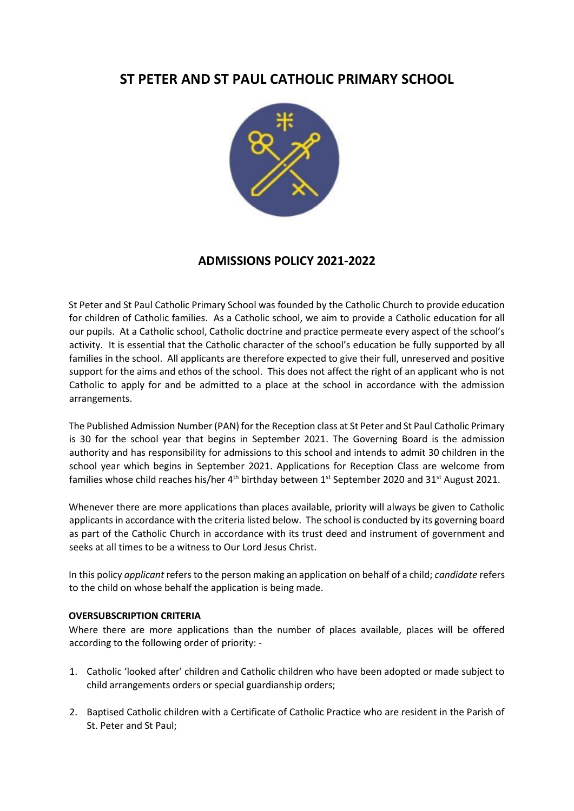# **ST PETER AND ST PAUL CATHOLIC PRIMARY SCHOOL**



## **ADMISSIONS POLICY 2021-2022**

St Peter and St Paul Catholic Primary School was founded by the Catholic Church to provide education for children of Catholic families. As a Catholic school, we aim to provide a Catholic education for all our pupils. At a Catholic school, Catholic doctrine and practice permeate every aspect of the school's activity. It is essential that the Catholic character of the school's education be fully supported by all families in the school. All applicants are therefore expected to give their full, unreserved and positive support for the aims and ethos of the school. This does not affect the right of an applicant who is not Catholic to apply for and be admitted to a place at the school in accordance with the admission arrangements.

The Published Admission Number (PAN) for the Reception class at St Peter and St Paul Catholic Primary is 30 for the school year that begins in September 2021. The Governing Board is the admission authority and has responsibility for admissions to this school and intends to admit 30 children in the school year which begins in September 2021. Applications for Reception Class are welcome from families whose child reaches his/her  $4<sup>th</sup>$  birthday between 1<sup>st</sup> September 2020 and 31<sup>st</sup> August 2021.

Whenever there are more applications than places available, priority will always be given to Catholic applicants in accordance with the criteria listed below. The school is conducted by its governing board as part of the Catholic Church in accordance with its trust deed and instrument of government and seeks at all times to be a witness to Our Lord Jesus Christ.

In this policy *applicant* refers to the person making an application on behalf of a child; *candidate* refers to the child on whose behalf the application is being made.

### **OVERSUBSCRIPTION CRITERIA**

Where there are more applications than the number of places available, places will be offered according to the following order of priority: -

- 1. Catholic 'looked after' children and Catholic children who have been adopted or made subject to child arrangements orders or special guardianship orders;
- 2. Baptised Catholic children with a Certificate of Catholic Practice who are resident in the Parish of St. Peter and St Paul;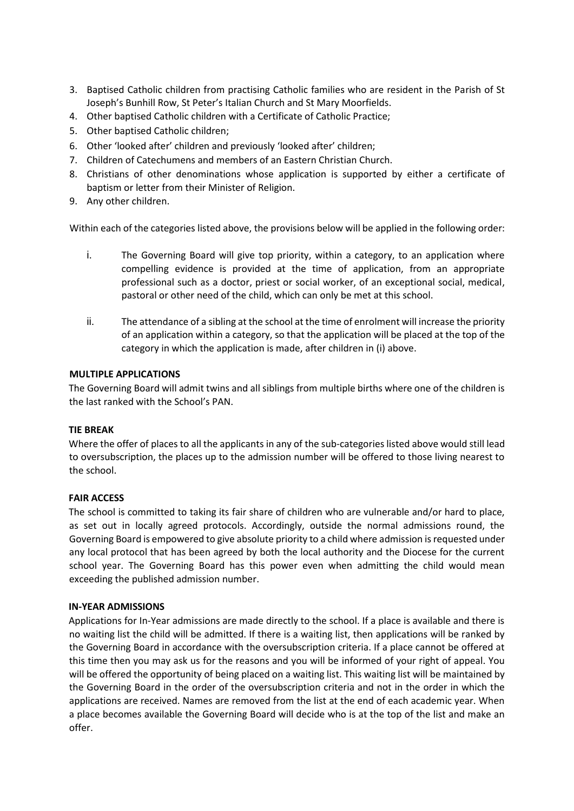- 3. Baptised Catholic children from practising Catholic families who are resident in the Parish of St Joseph's Bunhill Row, St Peter's Italian Church and St Mary Moorfields.
- 4. Other baptised Catholic children with a Certificate of Catholic Practice;
- 5. Other baptised Catholic children;
- 6. Other 'looked after' children and previously 'looked after' children;
- 7. Children of Catechumens and members of an Eastern Christian Church.
- 8. Christians of other denominations whose application is supported by either a certificate of baptism or letter from their Minister of Religion.
- 9. Any other children.

Within each of the categories listed above, the provisions below will be applied in the following order:

- i. The Governing Board will give top priority, within a category, to an application where compelling evidence is provided at the time of application, from an appropriate professional such as a doctor, priest or social worker, of an exceptional social, medical, pastoral or other need of the child, which can only be met at this school.
- ii. The attendance of a sibling at the school at the time of enrolment will increase the priority of an application within a category, so that the application will be placed at the top of the category in which the application is made, after children in (i) above.

### **MULTIPLE APPLICATIONS**

The Governing Board will admit twins and all siblings from multiple births where one of the children is the last ranked with the School's PAN.

### **TIE BREAK**

Where the offer of places to all the applicants in any of the sub-categories listed above would still lead to oversubscription, the places up to the admission number will be offered to those living nearest to the school.

### **FAIR ACCESS**

The school is committed to taking its fair share of children who are vulnerable and/or hard to place, as set out in locally agreed protocols. Accordingly, outside the normal admissions round, the Governing Board is empowered to give absolute priority to a child where admission is requested under any local protocol that has been agreed by both the local authority and the Diocese for the current school year. The Governing Board has this power even when admitting the child would mean exceeding the published admission number.

### **IN-YEAR ADMISSIONS**

Applications for In-Year admissions are made directly to the school. If a place is available and there is no waiting list the child will be admitted. If there is a waiting list, then applications will be ranked by the Governing Board in accordance with the oversubscription criteria. If a place cannot be offered at this time then you may ask us for the reasons and you will be informed of your right of appeal. You will be offered the opportunity of being placed on a waiting list. This waiting list will be maintained by the Governing Board in the order of the oversubscription criteria and not in the order in which the applications are received. Names are removed from the list at the end of each academic year. When a place becomes available the Governing Board will decide who is at the top of the list and make an offer.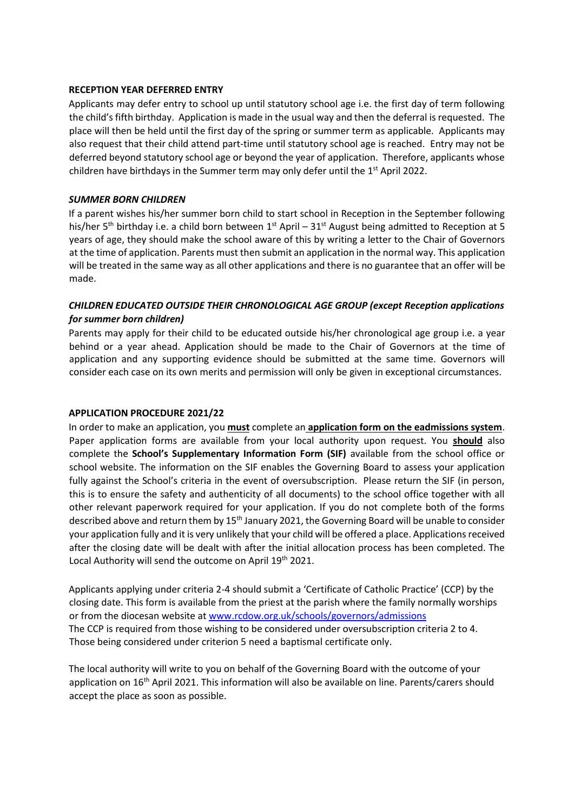### **RECEPTION YEAR DEFERRED ENTRY**

Applicants may defer entry to school up until statutory school age i.e. the first day of term following the child's fifth birthday. Application is made in the usual way and then the deferral is requested. The place will then be held until the first day of the spring or summer term as applicable. Applicants may also request that their child attend part-time until statutory school age is reached. Entry may not be deferred beyond statutory school age or beyond the year of application. Therefore, applicants whose children have birthdays in the Summer term may only defer until the  $1<sup>st</sup>$  April 2022.

### *SUMMER BORN CHILDREN*

If a parent wishes his/her summer born child to start school in Reception in the September following his/her 5<sup>th</sup> birthday i.e. a child born between 1<sup>st</sup> April – 31<sup>st</sup> August being admitted to Reception at 5 years of age, they should make the school aware of this by writing a letter to the Chair of Governors at the time of application. Parents must then submit an application in the normal way. This application will be treated in the same way as all other applications and there is no guarantee that an offer will be made.

### *CHILDREN EDUCATED OUTSIDE THEIR CHRONOLOGICAL AGE GROUP (except Reception applications for summer born children)*

Parents may apply for their child to be educated outside his/her chronological age group i.e. a year behind or a year ahead. Application should be made to the Chair of Governors at the time of application and any supporting evidence should be submitted at the same time. Governors will consider each case on its own merits and permission will only be given in exceptional circumstances.

### **APPLICATION PROCEDURE 2021/22**

In order to make an application, you **must** complete an **application form on the eadmissions system**. Paper application forms are available from your local authority upon request. You **should** also complete the **School's Supplementary Information Form (SIF)** available from the school office or school website. The information on the SIF enables the Governing Board to assess your application fully against the School's criteria in the event of oversubscription. Please return the SIF (in person, this is to ensure the safety and authenticity of all documents) to the school office together with all other relevant paperwork required for your application. If you do not complete both of the forms described above and return them by 15<sup>th</sup> January 2021, the Governing Board will be unable to consider your application fully and it is very unlikely that your child will be offered a place. Applications received after the closing date will be dealt with after the initial allocation process has been completed. The Local Authority will send the outcome on April 19<sup>th</sup> 2021.

Applicants applying under criteria 2-4 should submit a 'Certificate of Catholic Practice' (CCP) by the closing date. This form is available from the priest at the parish where the family normally worships or from the diocesan website a[t www.rcdow.org.uk/schools/governors/admissions](http://www.rcdow.org.uk/schools/governors/admissions) The CCP is required from those wishing to be considered under oversubscription criteria 2 to 4. Those being considered under criterion 5 need a baptismal certificate only.

The local authority will write to you on behalf of the Governing Board with the outcome of your application on 16th April 2021. This information will also be available on line. Parents/carers should accept the place as soon as possible.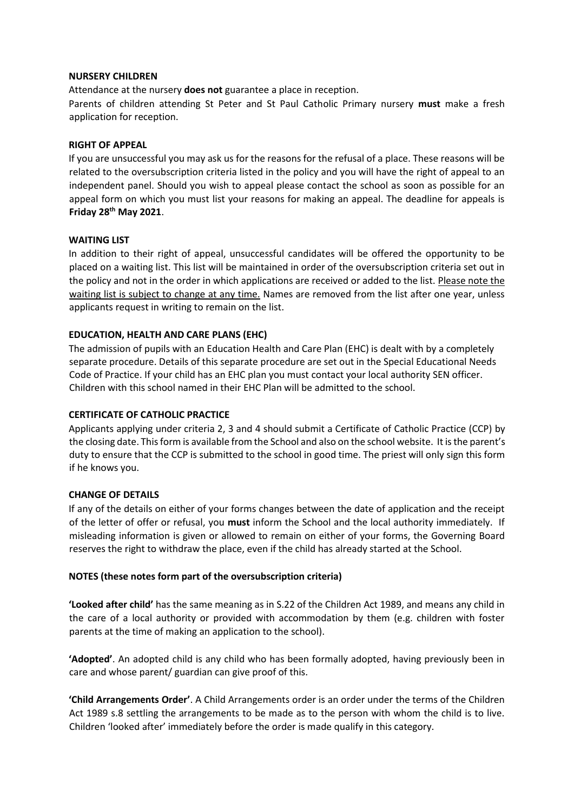### **NURSERY CHILDREN**

Attendance at the nursery **does not** guarantee a place in reception.

Parents of children attending St Peter and St Paul Catholic Primary nursery **must** make a fresh application for reception.

### **RIGHT OF APPEAL**

If you are unsuccessful you may ask us for the reasons for the refusal of a place. These reasons will be related to the oversubscription criteria listed in the policy and you will have the right of appeal to an independent panel. Should you wish to appeal please contact the school as soon as possible for an appeal form on which you must list your reasons for making an appeal. The deadline for appeals is **Friday 28 th May 2021**.

### **WAITING LIST**

In addition to their right of appeal, unsuccessful candidates will be offered the opportunity to be placed on a waiting list. This list will be maintained in order of the oversubscription criteria set out in the policy and not in the order in which applications are received or added to the list. Please note the waiting list is subject to change at any time. Names are removed from the list after one year, unless applicants request in writing to remain on the list.

### **EDUCATION, HEALTH AND CARE PLANS (EHC)**

The admission of pupils with an Education Health and Care Plan (EHC) is dealt with by a completely separate procedure. Details of this separate procedure are set out in the Special Educational Needs Code of Practice. If your child has an EHC plan you must contact your local authority SEN officer. Children with this school named in their EHC Plan will be admitted to the school.

### **CERTIFICATE OF CATHOLIC PRACTICE**

Applicants applying under criteria 2, 3 and 4 should submit a Certificate of Catholic Practice (CCP) by the closing date. This form is available from the School and also on the school website. It is the parent's duty to ensure that the CCP is submitted to the school in good time. The priest will only sign this form if he knows you.

#### **CHANGE OF DETAILS**

If any of the details on either of your forms changes between the date of application and the receipt of the letter of offer or refusal, you **must** inform the School and the local authority immediately. If misleading information is given or allowed to remain on either of your forms, the Governing Board reserves the right to withdraw the place, even if the child has already started at the School.

#### **NOTES (these notes form part of the oversubscription criteria)**

**'Looked after child'** has the same meaning as in S.22 of the Children Act 1989, and means any child in the care of a local authority or provided with accommodation by them (e.g. children with foster parents at the time of making an application to the school).

**'Adopted'**. An adopted child is any child who has been formally adopted, having previously been in care and whose parent/ guardian can give proof of this.

**'Child Arrangements Order'**. A Child Arrangements order is an order under the terms of the Children Act 1989 s.8 settling the arrangements to be made as to the person with whom the child is to live. Children 'looked after' immediately before the order is made qualify in this category.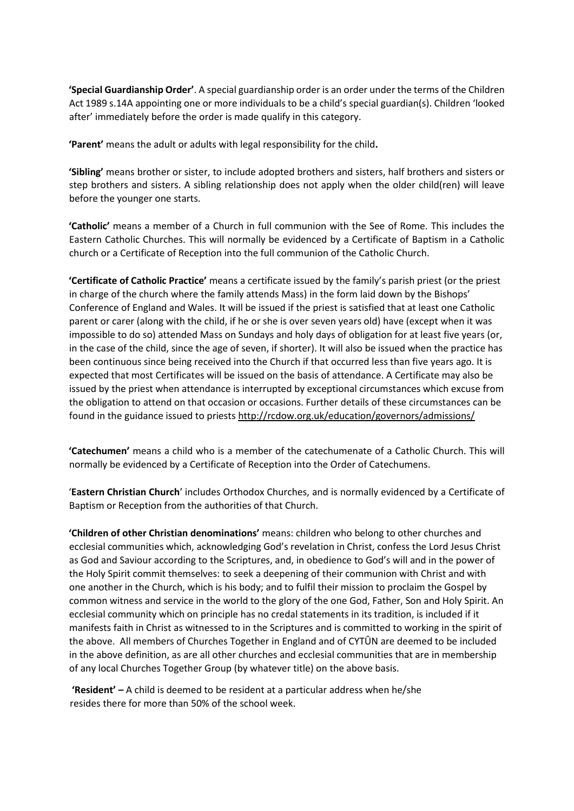**'Special Guardianship Order'**. A special guardianship order is an order under the terms of the Children Act 1989 s.14A appointing one or more individuals to be a child's special guardian(s). Children 'looked after' immediately before the order is made qualify in this category.

**'Parent'** means the adult or adults with legal responsibility for the child**.**

**'Sibling'** means brother or sister, to include adopted brothers and sisters, half brothers and sisters or step brothers and sisters. A sibling relationship does not apply when the older child(ren) will leave before the younger one starts.

**'Catholic'** means a member of a Church in full communion with the See of Rome. This includes the Eastern Catholic Churches. This will normally be evidenced by a Certificate of Baptism in a Catholic church or a Certificate of Reception into the full communion of the Catholic Church.

**'Certificate of Catholic Practice'** means a certificate issued by the family's parish priest (or the priest in charge of the church where the family attends Mass) in the form laid down by the Bishops' Conference of England and Wales. It will be issued if the priest is satisfied that at least one Catholic parent or carer (along with the child, if he or she is over seven years old) have (except when it was impossible to do so) attended Mass on Sundays and holy days of obligation for at least five years (or, in the case of the child, since the age of seven, if shorter). It will also be issued when the practice has been continuous since being received into the Church if that occurred less than five years ago. It is expected that most Certificates will be issued on the basis of attendance. A Certificate may also be issued by the priest when attendance is interrupted by exceptional circumstances which excuse from the obligation to attend on that occasion or occasions. Further details of these circumstances can be found in the guidance issued to priests<http://rcdow.org.uk/education/governors/admissions/>

**'Catechumen'** means a child who is a member of the catechumenate of a Catholic Church. This will normally be evidenced by a Certificate of Reception into the Order of Catechumens.

'**Eastern Christian Church**' includes Orthodox Churches, and is normally evidenced by a Certificate of Baptism or Reception from the authorities of that Church.

**'Children of other Christian denominations'** means: children who belong to other churches and ecclesial communities which, acknowledging God's revelation in Christ, confess the Lord Jesus Christ as God and Saviour according to the Scriptures, and, in obedience to God's will and in the power of the Holy Spirit commit themselves: to seek a deepening of their communion with Christ and with one another in the Church, which is his body; and to fulfil their mission to proclaim the Gospel by common witness and service in the world to the glory of the one God, Father, Son and Holy Spirit. An ecclesial community which on principle has no credal statements in its tradition, is included if it manifests faith in Christ as witnessed to in the Scriptures and is committed to working in the spirit of the above. All members of Churches Together in England and of CYTÛN are deemed to be included in the above definition, as are all other churches and ecclesial communities that are in membership of any local Churches Together Group (by whatever title) on the above basis.

**'Resident' –** A child is deemed to be resident at a particular address when he/she resides there for more than 50% of the school week.